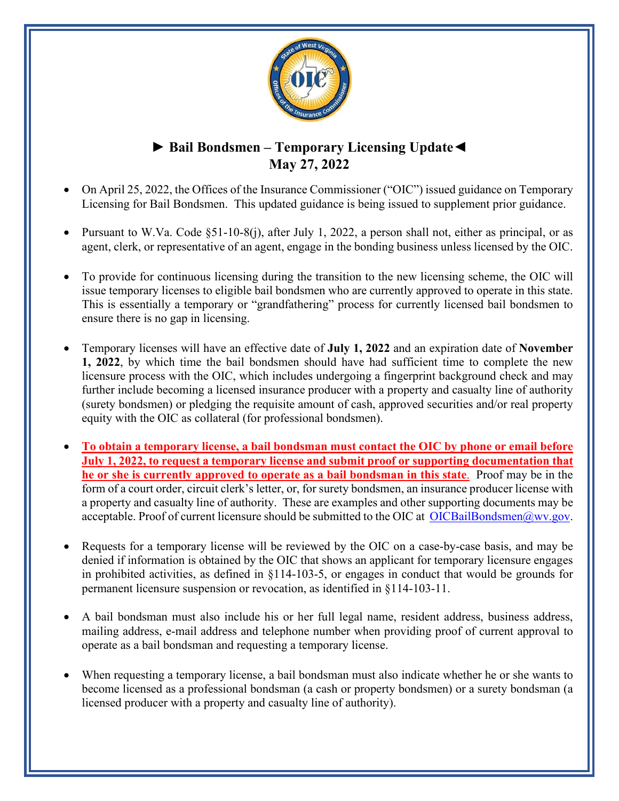

## **► Bail Bondsmen – Temporary Licensing Update◄ May 27, 2022**

- On April 25, 2022, the Offices of the Insurance Commissioner ("OIC") issued guidance on Temporary Licensing for Bail Bondsmen. This updated guidance is being issued to supplement prior guidance.
- Pursuant to W.Va. Code §51-10-8(j), after July 1, 2022, a person shall not, either as principal, or as agent, clerk, or representative of an agent, engage in the bonding business unless licensed by the OIC.
- To provide for continuous licensing during the transition to the new licensing scheme, the OIC will issue temporary licenses to eligible bail bondsmen who are currently approved to operate in this state. This is essentially a temporary or "grandfathering" process for currently licensed bail bondsmen to ensure there is no gap in licensing.
- Temporary licenses will have an effective date of **July 1, 2022** and an expiration date of **November 1, 2022**, by which time the bail bondsmen should have had sufficient time to complete the new licensure process with the OIC, which includes undergoing a fingerprint background check and may further include becoming a licensed insurance producer with a property and casualty line of authority (surety bondsmen) or pledging the requisite amount of cash, approved securities and/or real property equity with the OIC as collateral (for professional bondsmen).
- **To obtain a temporary license, a bail bondsman must contact the OIC by phone or email before July 1, 2022, to request a temporary license and submit proof or supporting documentation that he or she is currently approved to operate as a bail bondsman in this state**. Proof may be in the form of a court order, circuit clerk's letter, or, for surety bondsmen, an insurance producer license with a property and casualty line of authority. These are examples and other supporting documents may be acceptable. Proof of current licensure should be submitted to the OIC at [OICBailBondsmen@wv.gov.](mailto:OICBailBondsmen@wv.gov)
- Requests for a temporary license will be reviewed by the OIC on a case-by-case basis, and may be denied if information is obtained by the OIC that shows an applicant for temporary licensure engages in prohibited activities, as defined in §114-103-5, or engages in conduct that would be grounds for permanent licensure suspension or revocation, as identified in §114-103-11.
- A bail bondsman must also include his or her full legal name, resident address, business address, mailing address, e-mail address and telephone number when providing proof of current approval to operate as a bail bondsman and requesting a temporary license.
- When requesting a temporary license, a bail bondsman must also indicate whether he or she wants to become licensed as a professional bondsman (a cash or property bondsmen) or a surety bondsman (a licensed producer with a property and casualty line of authority).